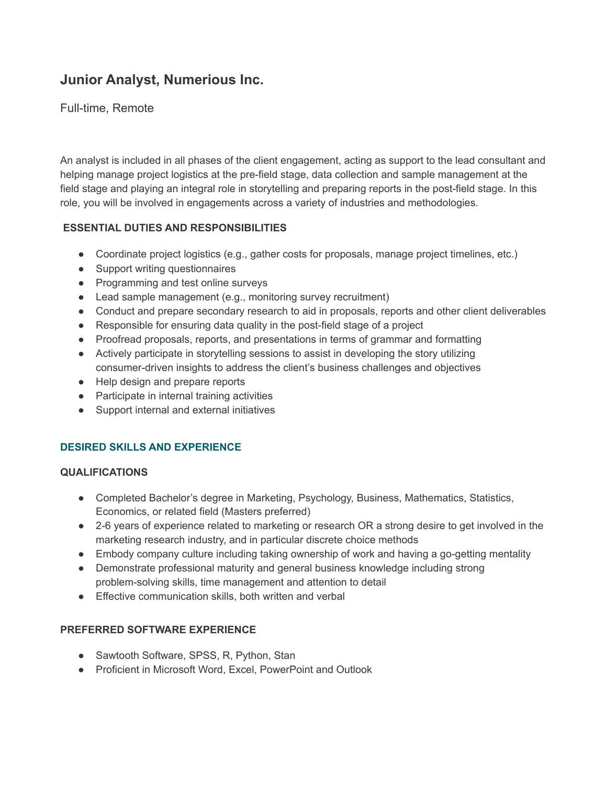# **Junior Analyst, Numerious Inc.**

# Full-time, Remote

An analyst is included in all phases of the client engagement, acting as support to the lead consultant and helping manage project logistics at the pre-field stage, data collection and sample management at the field stage and playing an integral role in storytelling and preparing reports in the post-field stage. In this role, you will be involved in engagements across a variety of industries and methodologies.

### **ESSENTIAL DUTIES AND RESPONSIBILITIES**

- Coordinate project logistics (e.g., gather costs for proposals, manage project timelines, etc.)
- Support writing questionnaires
- Programming and test online surveys
- Lead sample management (e.g., monitoring survey recruitment)
- Conduct and prepare secondary research to aid in proposals, reports and other client deliverables
- Responsible for ensuring data quality in the post-field stage of a project
- Proofread proposals, reports, and presentations in terms of grammar and formatting
- Actively participate in storytelling sessions to assist in developing the story utilizing consumer-driven insights to address the client's business challenges and objectives
- Help design and prepare reports
- Participate in internal training activities
- Support internal and external initiatives

## **DESIRED SKILLS AND EXPERIENCE**

#### **QUALIFICATIONS**

- Completed Bachelor's degree in Marketing, Psychology, Business, Mathematics, Statistics, Economics, or related field (Masters preferred)
- 2-6 years of experience related to marketing or research OR a strong desire to get involved in the marketing research industry, and in particular discrete choice methods
- Embody company culture including taking ownership of work and having a go-getting mentality
- Demonstrate professional maturity and general business knowledge including strong problem-solving skills, time management and attention to detail
- Effective communication skills, both written and verbal

#### **PREFERRED SOFTWARE EXPERIENCE**

- Sawtooth Software, SPSS, R, Python, Stan
- Proficient in Microsoft Word, Excel, PowerPoint and Outlook